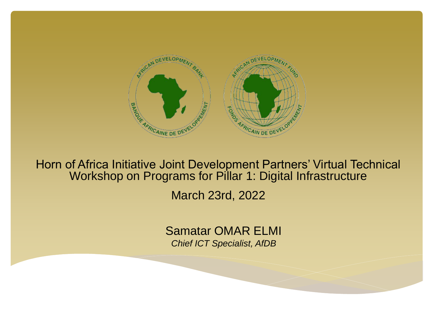

Horn of Africa Initiative Joint Development Partners' Virtual Technical Workshop on Programs for Pillar 1: Digital Infrastructure

March 23rd, 2022

Samatar OMAR ELMI *Chief ICT Specialist, AfDB*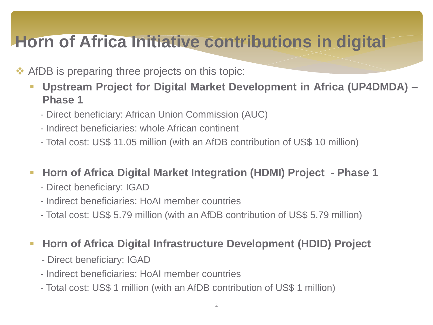## **Horn of Africa Initiative contributions in digital**

#### ❖ AfDB is preparing three projects on this topic:

- **Upstream Project for Digital Market Development in Africa (UP4DMDA) – Phase 1**
	- Direct beneficiary: African Union Commission (AUC)
	- Indirect beneficiaries: whole African continent
	- Total cost: US\$ 11.05 million (with an AfDB contribution of US\$ 10 million)

#### ▪ **Horn of Africa Digital Market Integration (HDMI) Project - Phase 1**

- Direct beneficiary: IGAD
- Indirect beneficiaries: HoAI member countries
- Total cost: US\$ 5.79 million (with an AfDB contribution of US\$ 5.79 million)

#### ▪ **Horn of Africa Digital Infrastructure Development (HDID) Project**

- Direct beneficiary: IGAD
- Indirect beneficiaries: HoAI member countries
- Total cost: US\$ 1 million (with an AfDB contribution of US\$ 1 million)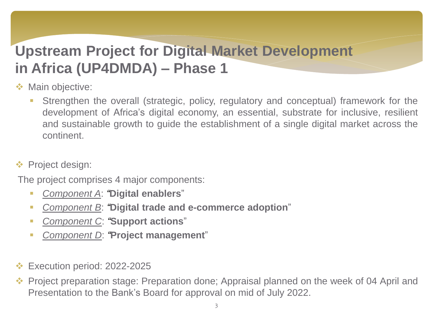### **Upstream Project for Digital Market Development in Africa (UP4DMDA) – Phase 1**

- ❖ Main objective:
	- **EXT** Strengthen the overall (strategic, policy, regulatory and conceptual) framework for the development of Africa's digital economy, an essential, substrate for inclusive, resilient and sustainable growth to guide the establishment of a single digital market across the continent.
- ❖ Project design:

The project comprises 4 major components:

- *Component A*: *"***Digital enablers**"
- *Component B*: *"***Digital trade and e-commerce adoption**"
- *Component C*: *"***Support actions**"
- *Component D*: *"***Project management**"
- ❖ Execution period: 2022-2025
- ❖ Project preparation stage: Preparation done; Appraisal planned on the week of 04 April and Presentation to the Bank's Board for approval on mid of July 2022.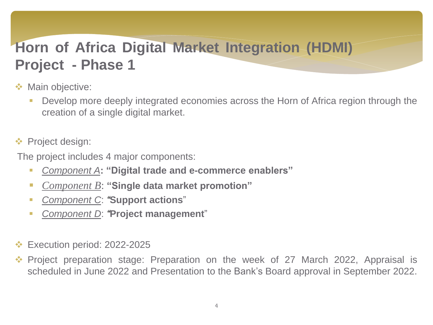### **Horn of Africa Digital Market Integration (HDMI) Project - Phase 1**

- ❖ Main objective:
	- Develop more deeply integrated economies across the Horn of Africa region through the creation of a single digital market.
- ❖ Project design:

The project includes 4 major components:

- *Component A***: "Digital trade and e-commerce enablers"**
- *Component B*: **"Single data market promotion"**
- *Component C*: *"***Support actions**"
- *Component D*: *"***Project management**"
- ❖ Execution period: 2022-2025
- ❖ Project preparation stage: Preparation on the week of 27 March 2022, Appraisal is scheduled in June 2022 and Presentation to the Bank's Board approval in September 2022.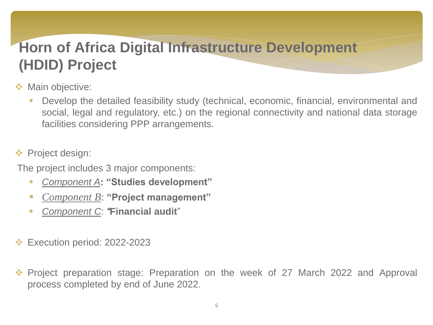### **Horn of Africa Digital Infrastructure Development (HDID) Project**

- ❖ Main objective:
	- Develop the detailed feasibility study (technical, economic, financial, environmental and social, legal and regulatory, etc.) on the regional connectivity and national data storage facilities considering PPP arrangements.
- ❖ Project design:
- The project includes 3 major components:
	- *Component A***: "Studies development"**
	- *Component B*: **"Project management"**
	- *Component C*: *"***Financial audit**"
- Execution period: 2022-2023
- ❖ Project preparation stage: Preparation on the week of 27 March 2022 and Approval process completed by end of June 2022.